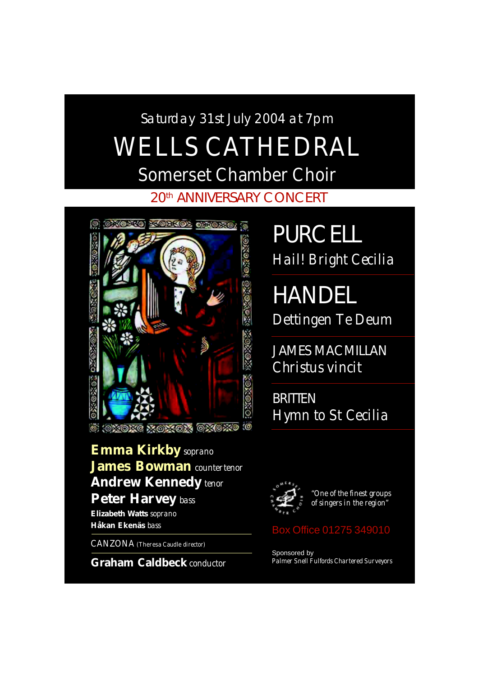# Saturday 31st July 2004 at 7pm WELLS CATHEDRAL Somerset Chamber Choir

20th ANNIVERSARY CONCERT



**Emma Kirkby** *soprano* **James Bowman** *countertenor* **Andrew Kennedy** *tenor* **Peter Harvey** *bass*

**Elizabeth Watts** *soprano* **Håkan Ekenäs** *bass*

CANZONA (Theresa Caudle *director*)

**Graham Caldbeck** *conductor*

## PURCELL *Hail! Bright Cecilia*

HANDEL *Dettingen Te Deum*

JAMES MACMILLAN *Christus vincit*

**BRITTEN** *Hymn to St Cecilia*



*"One of the finest groups of singers in the region"*

### Office 01275 349010

Sponsored by *Palmer Snell Fulfords Chartered Surveyors*